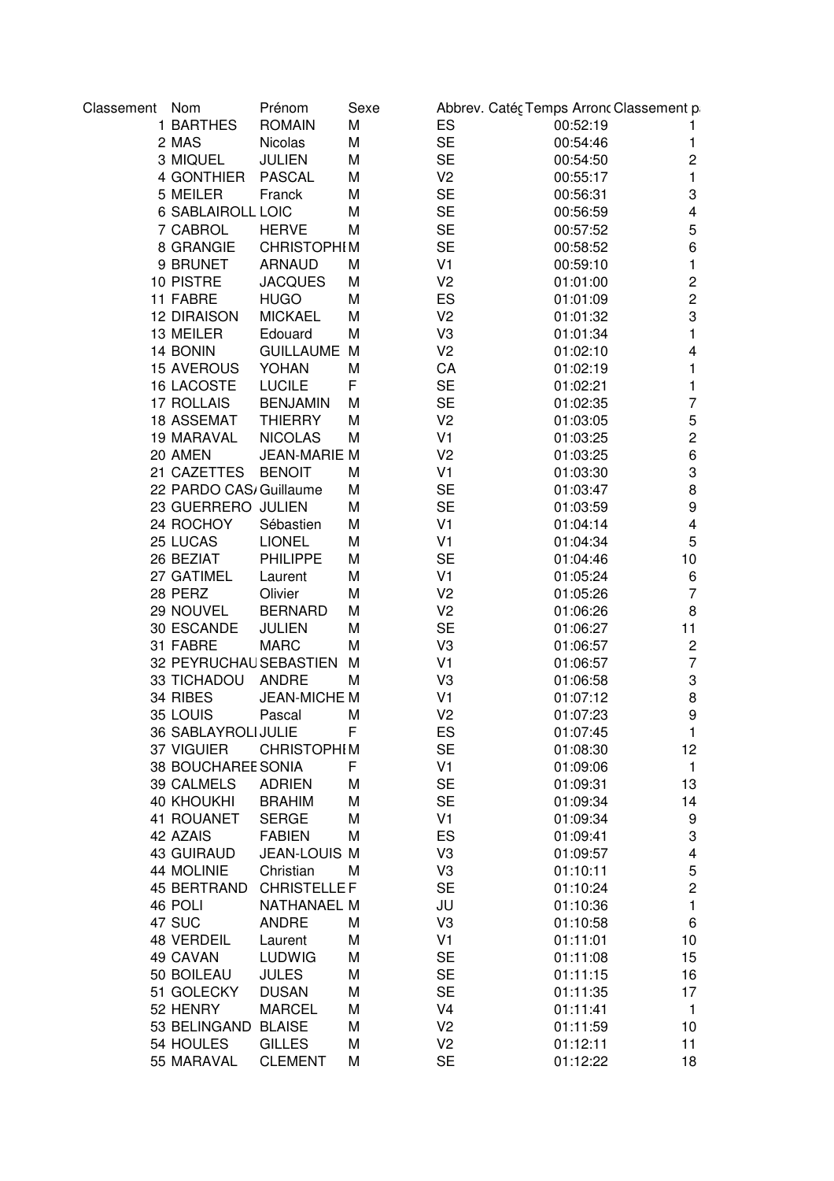| Classement Nom |                          | Prénom              | Sexe |                | Abbrev. Catéç Temps Arronc Classement p |                         |
|----------------|--------------------------|---------------------|------|----------------|-----------------------------------------|-------------------------|
|                | 1 BARTHES                | <b>ROMAIN</b>       | M    | ES             | 00:52:19                                |                         |
|                | 2 MAS                    | Nicolas             | M    | <b>SE</b>      | 00:54:46                                | 1                       |
|                | 3 MIQUEL                 | JULIEN              | M    | <b>SE</b>      | 00:54:50                                | $\overline{c}$          |
|                | 4 GONTHIER               | <b>PASCAL</b>       | M    | V <sub>2</sub> | 00:55:17                                | $\mathbf{1}$            |
|                | 5 MEILER                 | Franck              | M    | <b>SE</b>      | 00:56:31                                | 3                       |
|                | <b>6 SABLAIROLL LOIC</b> |                     | M    | <b>SE</b>      | 00:56:59                                | 4                       |
|                | 7 CABROL                 | <b>HERVE</b>        | M    | <b>SE</b>      | 00:57:52                                | 5                       |
|                | 8 GRANGIE                | <b>CHRISTOPHIM</b>  |      | <b>SE</b>      | 00:58:52                                | 6                       |
|                | 9 BRUNET                 | <b>ARNAUD</b>       | M    | V <sub>1</sub> | 00:59:10                                | 1                       |
|                | 10 PISTRE                | <b>JACQUES</b>      | M    | V <sub>2</sub> | 01:01:00                                | $\overline{\mathbf{c}}$ |
|                | 11 FABRE                 | <b>HUGO</b>         | M    | ES             | 01:01:09                                | $\overline{c}$          |
|                | <b>12 DIRAISON</b>       | <b>MICKAEL</b>      | M    | V <sub>2</sub> | 01:01:32                                | 3                       |
|                | 13 MEILER                | Edouard             | M    | V3             | 01:01:34                                | 1                       |
|                | 14 BONIN                 | <b>GUILLAUME M</b>  |      | V <sub>2</sub> | 01:02:10                                | 4                       |
|                | <b>15 AVEROUS</b>        | YOHAN               | M    | CA             | 01:02:19                                | 1                       |
|                | 16 LACOSTE               | <b>LUCILE</b>       | F    | <b>SE</b>      | 01:02:21                                | 1                       |
|                | 17 ROLLAIS               | <b>BENJAMIN</b>     | M    | <b>SE</b>      | 01:02:35                                | $\overline{7}$          |
|                | 18 ASSEMAT               | <b>THIERRY</b>      | M    | V <sub>2</sub> | 01:03:05                                | 5                       |
|                | 19 MARAVAL               | <b>NICOLAS</b>      | М    | V <sub>1</sub> | 01:03:25                                | $\overline{c}$          |
|                | 20 AMEN                  | <b>JEAN-MARIE M</b> |      | V <sub>2</sub> | 01:03:25                                | 6                       |
|                | 21 CAZETTES              | <b>BENOIT</b>       | M    | V <sub>1</sub> | 01:03:30                                | 3                       |
|                | 22 PARDO CAS/ Guillaume  |                     | M    | <b>SE</b>      | 01:03:47                                | 8                       |
|                | 23 GUERRERO JULIEN       |                     | M    | <b>SE</b>      | 01:03:59                                | 9                       |
|                | 24 ROCHOY                | Sébastien           | M    | V <sub>1</sub> | 01:04:14                                | $\overline{\mathbf{4}}$ |
|                | 25 LUCAS                 | <b>LIONEL</b>       | M    | V <sub>1</sub> | 01:04:34                                | 5                       |
|                | 26 BEZIAT                | <b>PHILIPPE</b>     | M    | <b>SE</b>      | 01:04:46                                | 10                      |
|                | 27 GATIMEL               | Laurent             | M    | V <sub>1</sub> | 01:05:24                                | 6                       |
|                | 28 PERZ                  | Olivier             | M    | V <sub>2</sub> | 01:05:26                                | $\overline{7}$          |
|                | 29 NOUVEL                | <b>BERNARD</b>      | M    | V <sub>2</sub> | 01:06:26                                | 8                       |
|                | 30 ESCANDE               | <b>JULIEN</b>       | M    | <b>SE</b>      | 01:06:27                                | 11                      |
|                | 31 FABRE                 | <b>MARC</b>         | M    | V3             | 01:06:57                                | $\overline{\mathbf{c}}$ |
|                | 32 PEYRUCHAU SEBASTIEN   |                     | M    | V <sub>1</sub> | 01:06:57                                | $\overline{7}$          |
|                | 33 TICHADOU              | ANDRE               | M    | V3             | 01:06:58                                | 3                       |
|                | 34 RIBES                 | JEAN-MICHE M        |      | V <sub>1</sub> | 01:07:12                                | 8                       |
|                | 35 LOUIS                 | Pascal              | M    | V <sub>2</sub> | 01:07:23                                | 9                       |
|                | 36 SABLAYROLI JULIE      |                     | F    | ES             | 01:07:45                                | 1                       |
|                | 37 VIGUIER               | <b>CHRISTOPHIM</b>  |      | <b>SE</b>      | 01:08:30                                | 12                      |
|                | 38 BOUCHAREE SONIA       |                     | F    | V <sub>1</sub> | 01:09:06                                | $\mathbf{1}$            |
|                | 39 CALMELS               | <b>ADRIEN</b>       | M    | <b>SE</b>      | 01:09:31                                | 13                      |
|                | <b>40 KHOUKHI</b>        | <b>BRAHIM</b>       | M    | <b>SE</b>      | 01:09:34                                | 14                      |
|                | 41 ROUANET               | <b>SERGE</b>        | M    | V1             | 01:09:34                                | 9                       |
|                | 42 AZAIS                 | <b>FABIEN</b>       | M    | ES             | 01:09:41                                | 3                       |
|                | <b>43 GUIRAUD</b>        | JEAN-LOUIS M        |      | V3             | 01:09:57                                | $\overline{\mathbf{4}}$ |
|                | 44 MOLINIE               | Christian           | M    | V3             | 01:10:11                                | 5                       |
|                | 45 BERTRAND              | <b>CHRISTELLEF</b>  |      | <b>SE</b>      | 01:10:24                                | $\overline{c}$          |
|                |                          | NATHANAEL M         |      |                |                                         |                         |
|                | 46 POLI                  |                     | M    | JU             | 01:10:36                                | 1                       |
|                | 47 SUC                   | <b>ANDRE</b>        |      | V3             | 01:10:58                                | 6                       |
|                | <b>48 VERDEIL</b>        | Laurent             | M    | V <sub>1</sub> | 01:11:01                                | 10                      |
|                | 49 CAVAN                 | <b>LUDWIG</b>       | M    | <b>SE</b>      | 01:11:08                                | 15                      |
|                | 50 BOILEAU               | <b>JULES</b>        | M    | <b>SE</b>      | 01:11:15                                | 16                      |
|                | 51 GOLECKY               | <b>DUSAN</b>        | M    | <b>SE</b>      | 01:11:35                                | 17                      |
|                | 52 HENRY                 | <b>MARCEL</b>       | M    | V <sub>4</sub> | 01:11:41                                | $\mathbf{1}$            |
|                | 53 BELINGAND             | <b>BLAISE</b>       | M    | V <sub>2</sub> | 01:11:59                                | 10                      |
|                | 54 HOULES                | <b>GILLES</b>       | M    | V <sub>2</sub> | 01:12:11                                | 11                      |
|                | 55 MARAVAL               | <b>CLEMENT</b>      | M    | <b>SE</b>      | 01:12:22                                | 18                      |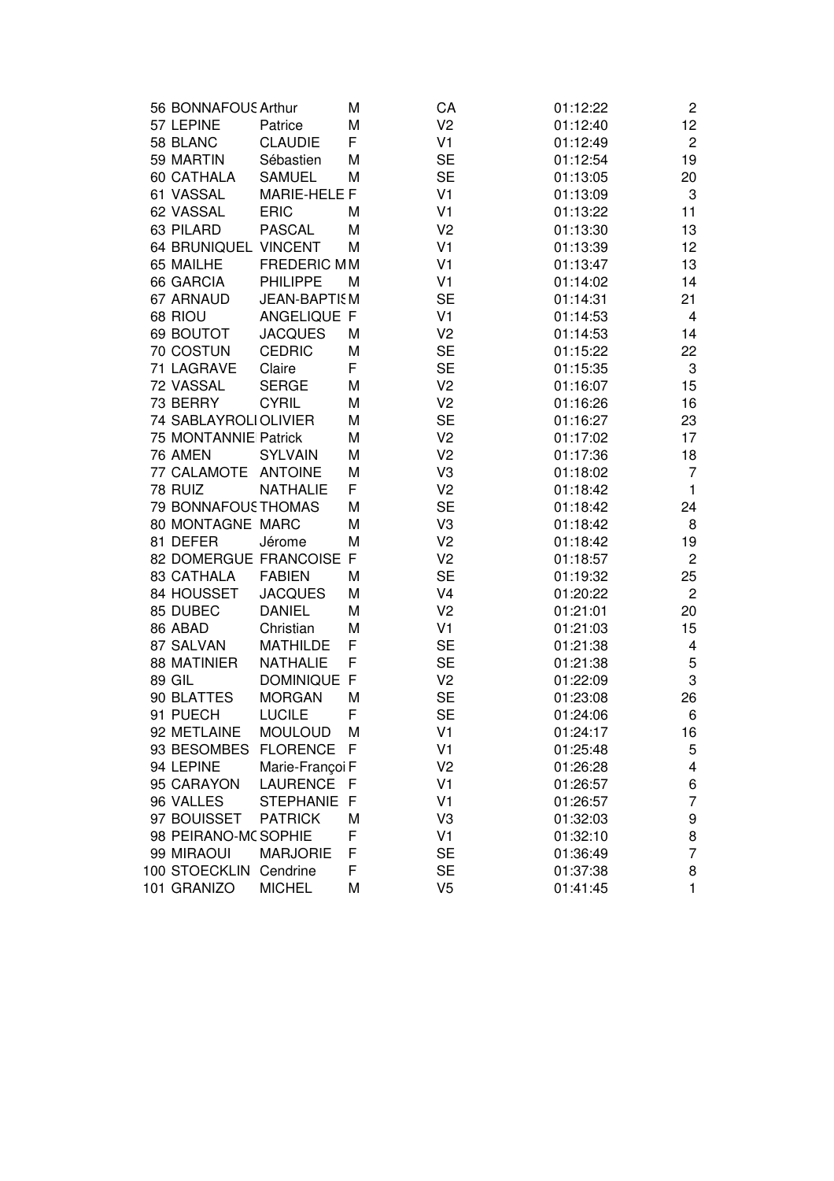|  | 56 BONNAFOUS Arthur    |                         | М   | CA             | 01:12:22 | $\overline{c}$            |
|--|------------------------|-------------------------|-----|----------------|----------|---------------------------|
|  | 57 LEPINE              | Patrice                 | M   | V <sub>2</sub> | 01:12:40 | 12                        |
|  | 58 BLANC               | <b>CLAUDIE</b>          | F   | V <sub>1</sub> | 01:12:49 | $\overline{c}$            |
|  | 59 MARTIN              | Sébastien               | M   | <b>SE</b>      | 01:12:54 | 19                        |
|  | 60 CATHALA             | <b>SAMUEL</b>           | M   | <b>SE</b>      | 01:13:05 | 20                        |
|  | 61 VASSAL              | <b>MARIE-HELE F</b>     |     | V <sub>1</sub> | 01:13:09 | $\ensuremath{\mathsf{3}}$ |
|  | 62 VASSAL              | <b>ERIC</b>             | M   | V <sub>1</sub> | 01:13:22 | 11                        |
|  | 63 PILARD              | <b>PASCAL</b>           | M   | V <sub>2</sub> | 01:13:30 | 13                        |
|  | 64 BRUNIQUEL VINCENT   |                         | M   | V <sub>1</sub> | 01:13:39 | 12                        |
|  | 65 MAILHE              | <b>FREDERIC MM</b>      |     | V <sub>1</sub> | 01:13:47 | 13                        |
|  | 66 GARCIA              | <b>PHILIPPE</b>         | M   | V <sub>1</sub> | 01:14:02 | 14                        |
|  | 67 ARNAUD              | <b>JEAN-BAPTISM</b>     |     | <b>SE</b>      | 01:14:31 | 21                        |
|  | 68 RIOU                | ANGELIQUE F             |     | V <sub>1</sub> | 01:14:53 | 4                         |
|  | 69 BOUTOT              | <b>JACQUES</b>          | M   | V <sub>2</sub> | 01:14:53 | 14                        |
|  | 70 COSTUN              | <b>CEDRIC</b>           | M   | <b>SE</b>      | 01:15:22 | 22                        |
|  | 71 LAGRAVE             | Claire                  | F   | <b>SE</b>      | 01:15:35 | 3                         |
|  | 72 VASSAL              | <b>SERGE</b>            | M   | V <sub>2</sub> | 01:16:07 | 15                        |
|  | 73 BERRY               | <b>CYRIL</b>            | M   | V <sub>2</sub> | 01:16:26 | 16                        |
|  | 74 SABLAYROLIOLIVIER   |                         | M   | <b>SE</b>      | 01:16:27 | 23                        |
|  | 75 MONTANNIE Patrick   |                         | M   | V <sub>2</sub> | 01:17:02 | 17                        |
|  | 76 AMEN                | <b>SYLVAIN</b>          | M   | V <sub>2</sub> | 01:17:36 | 18                        |
|  | 77 CALAMOTE            | <b>ANTOINE</b>          | M   | V3             | 01:18:02 | $\overline{7}$            |
|  | 78 RUIZ                | <b>NATHALIE</b>         | F   | V <sub>2</sub> | 01:18:42 | $\mathbf{1}$              |
|  | 79 BONNAFOUS THOMAS    |                         | M   | <b>SE</b>      | 01:18:42 | 24                        |
|  | 80 MONTAGNE MARC       |                         | M   | V3             | 01:18:42 | 8                         |
|  | 81 DEFER               | Jérome                  | M   | V <sub>2</sub> | 01:18:42 | 19                        |
|  |                        | 82 DOMERGUE FRANCOISE F |     | V <sub>2</sub> | 01:18:57 | $\overline{c}$            |
|  | 83 CATHALA             | <b>FABIEN</b>           | M   | <b>SE</b>      | 01:19:32 | 25                        |
|  | 84 HOUSSET             | <b>JACQUES</b>          | M   | V <sub>4</sub> | 01:20:22 | $\overline{c}$            |
|  | 85 DUBEC               | <b>DANIEL</b>           | M   | V <sub>2</sub> | 01:21:01 | 20                        |
|  | 86 ABAD                | Christian               | M   | V <sub>1</sub> | 01:21:03 | 15                        |
|  | 87 SALVAN              | <b>MATHILDE</b>         | F   | <b>SE</b>      | 01:21:38 | 4                         |
|  | <b>88 MATINIER</b>     | <b>NATHALIE</b>         | F   | <b>SE</b>      | 01:21:38 | $\mathbf 5$               |
|  | <b>89 GIL</b>          | <b>DOMINIQUE</b>        | F   | V <sub>2</sub> | 01:22:09 | 3                         |
|  | 90 BLATTES             | <b>MORGAN</b>           | M   | <b>SE</b>      | 01:23:08 | 26                        |
|  | 91 PUECH               | <b>LUCILE</b>           | F   | <b>SE</b>      | 01:24:06 | 6                         |
|  | 92 METLAINE            | <b>MOULOUD</b>          | M   | V1             | 01:24:17 | 16                        |
|  | 93 BESOMBES            | <b>FLORENCE</b>         | F   | V <sub>1</sub> | 01:25:48 | 5                         |
|  | 94 LEPINE              | Marie-Françoi F         |     | V <sub>2</sub> | 01:26:28 | 4                         |
|  | 95 CARAYON             | <b>LAURENCE</b>         | - F | V <sub>1</sub> | 01:26:57 | 6                         |
|  | 96 VALLES              | STEPHANIE F             |     | V <sub>1</sub> | 01:26:57 | $\overline{7}$            |
|  | 97 BOUISSET            | <b>PATRICK</b>          | M   | V3             | 01:32:03 | 9                         |
|  | 98 PEIRANO-MC SOPHIE   |                         | F   | V1             | 01:32:10 | 8                         |
|  | 99 MIRAOUI             | <b>MARJORIE</b>         | F   | <b>SE</b>      | 01:36:49 | $\overline{7}$            |
|  | 100 STOECKLIN Cendrine |                         | F   | <b>SE</b>      | 01:37:38 | 8                         |
|  | 101 GRANIZO            | <b>MICHEL</b>           | M   | V <sub>5</sub> | 01:41:45 | 1                         |
|  |                        |                         |     |                |          |                           |